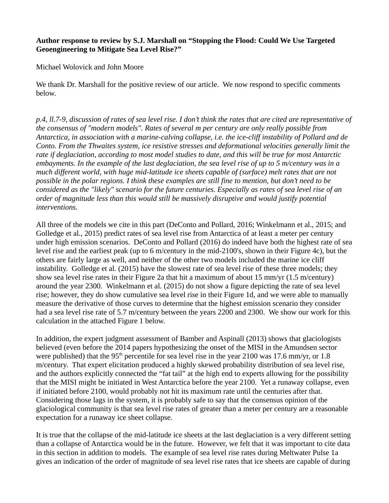## **Author response to review by S.J. Marshall on "Stopping the Flood: Could We Use Targeted Geoengineering to Mitigate Sea Level Rise?"**

Michael Wolovick and John Moore

We thank Dr. Marshall for the positive review of our article. We now respond to specific comments below.

*p.4, ll.7-9, discussion of rates of sea level rise. I don't think the rates that are cited are representative of the consensus of "modern models". Rates of several m per century are only really possible from Antarctica, in association with a marine-calving collapse, i.e. the ice-cliff instability of Pollard and de Conto. From the Thwaites system, ice resistive stresses and deformational velocities generally limit the rate if deglaciation, according to most model studies to date, and this will be true for most Antarctic embayments. In the example of the last deglaciation, the sea level rise of up to 5 m/century was in a much different world, with huge mid-latitude ice sheets capable of (surface) melt rates that are not possible in the polar regions. I think these examples are still fine to mention, but don't need to be considered as the "likely" scenario for the future centuries. Especially as rates of sea level rise of an order of magnitude less than this would still be massively disruptive and would justify potential interventions.*

All three of the models we cite in this part (DeConto and Pollard, 2016; Winkelmann et al., 2015; and Golledge et al., 2015) predict rates of sea level rise from Antarctica of at least a meter per century under high emission scenarios. DeConto and Pollard (2016) do indeed have both the highest rate of sea level rise and the earliest peak (up to 6 m/century in the mid-2100's, shown in their Figure 4c), but the others are fairly large as well, and neither of the other two models included the marine ice cliff instability. Golledge et al. (2015) have the slowest rate of sea level rise of these three models; they show sea level rise rates in their Figure 2a that hit a maximum of about 15 mm/yr (1.5 m/century) around the year 2300. Winkelmann et al. (2015) do not show a figure depicting the rate of sea level rise; however, they do show cumulative sea level rise in their Figure 1d, and we were able to manually measure the derivative of those curves to determine that the highest emission scenario they consider had a sea level rise rate of 5.7 m/century between the years 2200 and 2300. We show our work for this calculation in the attached Figure 1 below.

In addition, the expert judgment assessment of Bamber and Aspinall (2013) shows that glaciologists believed (even before the 2014 papers hypothesizing the onset of the MISI in the Amundsen sector were published) that the  $95<sup>th</sup>$  percentile for sea level rise in the year 2100 was 17.6 mm/yr, or 1.8 m/century. That expert elicitation produced a highly skewed probability distribution of sea level rise, and the authors explicitly connected the "fat tail" at the high end to experts allowing for the possibility that the MISI might be initiated in West Antarctica before the year 2100. Yet a runaway collapse, even if initiated before 2100, would probably not hit its maximum rate until the centuries after that. Considering those lags in the system, it is probably safe to say that the consensus opinion of the glaciological community is that sea level rise rates of greater than a meter per century are a reasonable expectation for a runaway ice sheet collapse.

It is true that the collapse of the mid-latitude ice sheets at the last deglaciation is a very different setting than a collapse of Antarctica would be in the future. However, we felt that it was important to cite data in this section in addition to models. The example of sea level rise rates during Meltwater Pulse 1a gives an indication of the order of magnitude of sea level rise rates that ice sheets are capable of during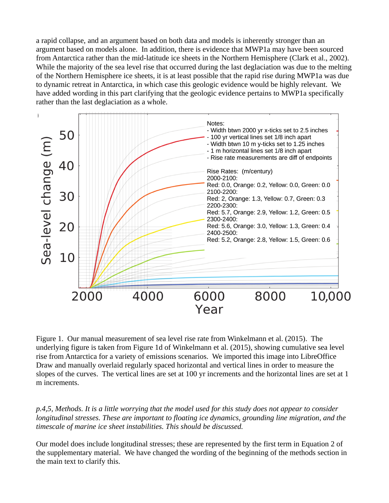a rapid collapse, and an argument based on both data and models is inherently stronger than an argument based on models alone. In addition, there is evidence that MWP1a may have been sourced from Antarctica rather than the mid-latitude ice sheets in the Northern Hemisphere (Clark et al., 2002). While the majority of the sea level rise that occurred during the last deglaciation was due to the melting of the Northern Hemisphere ice sheets, it is at least possible that the rapid rise during MWP1a was due to dynamic retreat in Antarctica, in which case this geologic evidence would be highly relevant. We have added wording in this part clarifying that the geologic evidence pertains to MWP1a specifically rather than the last deglaciation as a whole.



Figure 1. Our manual measurement of sea level rise rate from Winkelmann et al. (2015). The underlying figure is taken from Figure 1d of Winkelmann et al. (2015), showing cumulative sea level rise from Antarctica for a variety of emissions scenarios. We imported this image into LibreOffice Draw and manually overlaid regularly spaced horizontal and vertical lines in order to measure the slopes of the curves. The vertical lines are set at 100 yr increments and the horizontal lines are set at 1 m increments.

*p.4,5, Methods. It is a little worrying that the model used for this study does not appear to consider longitudinal stresses. These are important to floating ice dynamics, grounding line migration, and the timescale of marine ice sheet instabilities. This should be discussed.*

Our model does include longitudinal stresses; these are represented by the first term in Equation 2 of the supplementary material. We have changed the wording of the beginning of the methods section in the main text to clarify this.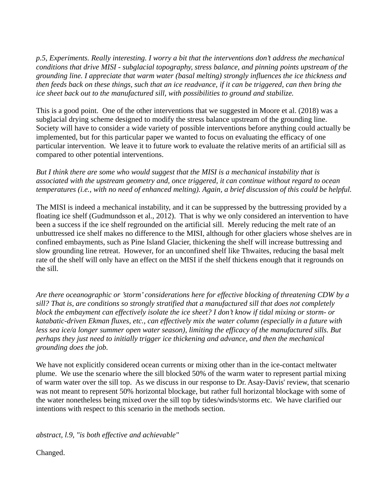*p.5, Experiments. Really interesting. I worry a bit that the interventions don't address the mechanical conditions that drive MISI - subglacial topography, stress balance, and pinning points upstream of the grounding line. I appreciate that warm water (basal melting) strongly influences the ice thickness and then feeds back on these things, such that an ice readvance, if it can be triggered, can then bring the ice sheet back out to the manufactured sill, with possibilities to ground and stabilize.* 

This is a good point. One of the other interventions that we suggested in Moore et al. (2018) was a subglacial drying scheme designed to modify the stress balance upstream of the grounding line. Society will have to consider a wide variety of possible interventions before anything could actually be implemented, but for this particular paper we wanted to focus on evaluating the efficacy of one particular intervention. We leave it to future work to evaluate the relative merits of an artificial sill as compared to other potential interventions.

*But I think there are some who would suggest that the MISI is a mechanical instability that is associated with the upstream geometry and, once triggered, it can continue without regard to ocean temperatures (i.e., with no need of enhanced melting). Again, a brief discussion of this could be helpful.*

The MISI is indeed a mechanical instability, and it can be suppressed by the buttressing provided by a floating ice shelf (Gudmundsson et al., 2012). That is why we only considered an intervention to have been a success if the ice shelf regrounded on the artificial sill. Merely reducing the melt rate of an unbuttressed ice shelf makes no difference to the MISI, although for other glaciers whose shelves are in confined embayments, such as Pine Island Glacier, thickening the shelf will increase buttressing and slow grounding line retreat. However, for an unconfined shelf like Thwaites, reducing the basal melt rate of the shelf will only have an effect on the MISI if the shelf thickens enough that it regrounds on the sill.

*Are there oceanographic or 'storm' considerations here for effective blocking of threatening CDW by a sill? That is, are conditions so strongly stratified that a manufactured sill that does not completely block the embayment can effectively isolate the ice sheet? I don't know if tidal mixing or storm- or katabatic-driven Ekman fluxes, etc., can effectively mix the water column (especially in a future with less sea ice/a longer summer open water season), limiting the efficacy of the manufactured sills. But perhaps they just need to initially trigger ice thickening and advance, and then the mechanical grounding does the job.*

We have not explicitly considered ocean currents or mixing other than in the ice-contact meltwater plume. We use the scenario where the sill blocked 50% of the warm water to represent partial mixing of warm water over the sill top. As we discuss in our response to Dr. Asay-Davis' review, that scenario was not meant to represent 50% horizontal blockage, but rather full horizontal blockage with some of the water nonetheless being mixed over the sill top by tides/winds/storms etc. We have clarified our intentions with respect to this scenario in the methods section.

*abstract, l.9, "is both effective and achievable"*

Changed.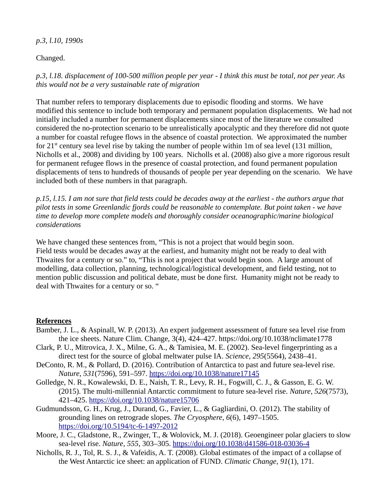## *p.3, l.10, 1990s*

## Changed.

*p.3, l.18. displacement of 100-500 million people per year - I think this must be total, not per year. As this would not be a very sustainable rate of migration*

That number refers to temporary displacements due to episodic flooding and storms. We have modified this sentence to include both temporary and permanent population displacements. We had not initially included a number for permanent displacements since most of the literature we consulted considered the no-protection scenario to be unrealistically apocalyptic and they therefore did not quote a number for coastal refugee flows in the absence of coastal protection. We approximated the number for  $21^{st}$  century sea level rise by taking the number of people within 1m of sea level (131 million, Nicholls et al., 2008) and dividing by 100 years. Nicholls et al. (2008) also give a more rigorous result for permanent refugee flows in the presence of coastal protection, and found permanent population displacements of tens to hundreds of thousands of people per year depending on the scenario. We have included both of these numbers in that paragraph.

*p.15, l.15. I am not sure that field tests could be decades away at the earliest - the authors argue that pilot tests in some Greenlandic fjords could be reasonable to contemplate. But point taken - we have time to develop more complete models and thoroughly consider oceanographic/marine biological considerations*

We have changed these sentences from, "This is not a project that would begin soon. Field tests would be decades away at the earliest, and humanity might not be ready to deal with Thwaites for a century or so." to, "This is not a project that would begin soon. A large amount of modelling, data collection, planning, technological/logistical development, and field testing, not to mention public discussion and political debate, must be done first. Humanity might not be ready to deal with Thwaites for a century or so. "

## **References**

- Bamber, J. L., & Aspinall, W. P. (2013). An expert judgement assessment of future sea level rise from the ice sheets. Nature Clim. Change, 3(4), 424–427. https://doi.org/10.1038/nclimate1778
- Clark, P. U., Mitrovica, J. X., Milne, G. A., & Tamisiea, M. E. (2002). Sea-level fingerprinting as a direct test for the source of global meltwater pulse IA. *Science*, *295*(5564), 2438–41.
- DeConto, R. M., & Pollard, D. (2016). Contribution of Antarctica to past and future sea-level rise. *Nature*, *531*(7596), 591–597.<https://doi.org/10.1038/nature17145>
- Golledge, N. R., Kowalewski, D. E., Naish, T. R., Levy, R. H., Fogwill, C. J., & Gasson, E. G. W. (2015). The multi-millennial Antarctic commitment to future sea-level rise. *Nature*, *526*(7573), 421–425.<https://doi.org/10.1038/nature15706>
- Gudmundsson, G. H., Krug, J., Durand, G., Favier, L., & Gagliardini, O. (2012). The stability of grounding lines on retrograde slopes. *The Cryosphere*, *6*(6), 1497–1505. <https://doi.org/10.5194/tc-6-1497-2012>
- Moore, J. C., Gladstone, R., Zwinger, T., & Wolovick, M. J. (2018). Geoengineer polar glaciers to slow sea-level rise. *Nature*, *555*, 303–305.<https://doi.org/10.1038/d41586-018-03036-4>
- Nicholls, R. J., Tol, R. S. J., & Vafeidis, A. T. (2008). Global estimates of the impact of a collapse of the West Antarctic ice sheet: an application of FUND. *Climatic Change*, *91*(1), 171.